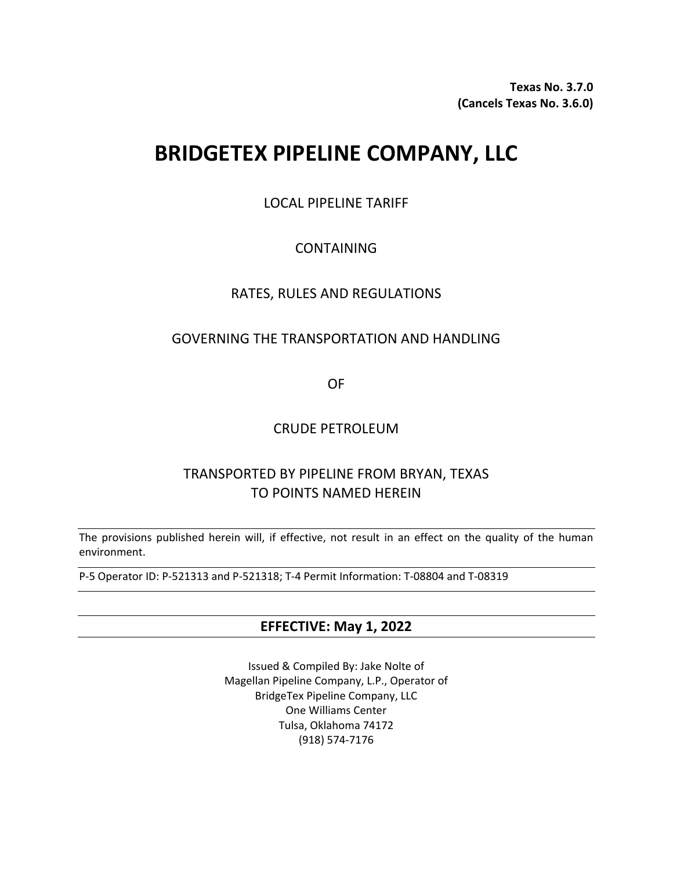**Texas No. 3.7.0 (Cancels Texas No. 3.6.0)**

# **BRIDGETEX PIPELINE COMPANY, LLC**

LOCAL PIPELINE TARIFF

# CONTAINING

# RATES, RULES AND REGULATIONS

# GOVERNING THE TRANSPORTATION AND HANDLING

OF

# CRUDE PETROLEUM

# TRANSPORTED BY PIPELINE FROM BRYAN, TEXAS TO POINTS NAMED HEREIN

The provisions published herein will, if effective, not result in an effect on the quality of the human environment.

P-5 Operator ID: P-521313 and P-521318; T-4 Permit Information: T-08804 and T-08319

# **EFFECTIVE: May 1, 2022**

Issued & Compiled By: Jake Nolte of Magellan Pipeline Company, L.P., Operator of BridgeTex Pipeline Company, LLC One Williams Center Tulsa, Oklahoma 74172 (918) 574-7176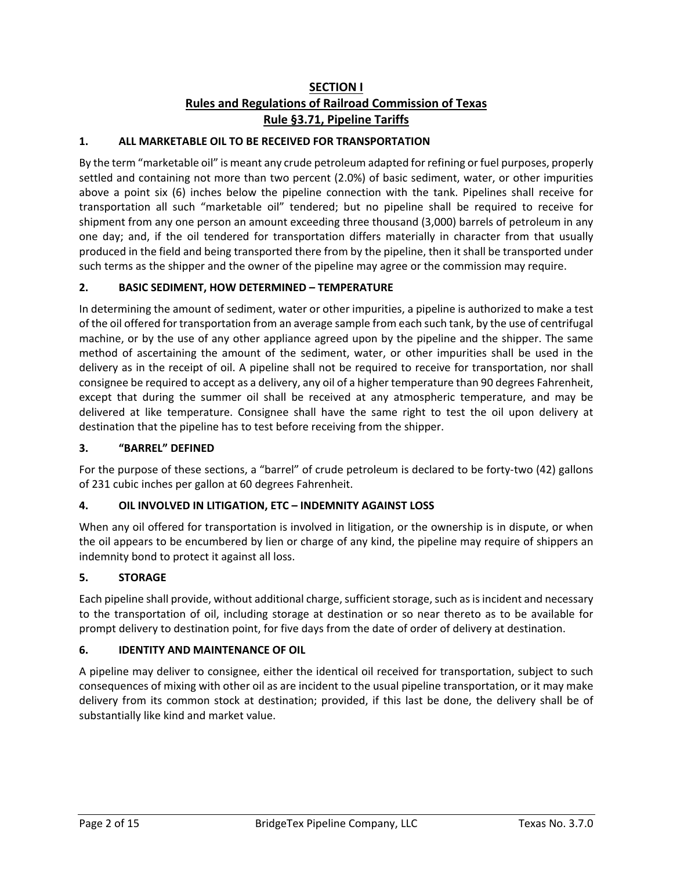# **SECTION I Rules and Regulations of Railroad Commission of Texas Rule §3.71, Pipeline Tariffs**

## **1. ALL MARKETABLE OIL TO BE RECEIVED FOR TRANSPORTATION**

By the term "marketable oil" is meant any crude petroleum adapted for refining or fuel purposes, properly settled and containing not more than two percent (2.0%) of basic sediment, water, or other impurities above a point six (6) inches below the pipeline connection with the tank. Pipelines shall receive for transportation all such "marketable oil" tendered; but no pipeline shall be required to receive for shipment from any one person an amount exceeding three thousand (3,000) barrels of petroleum in any one day; and, if the oil tendered for transportation differs materially in character from that usually produced in the field and being transported there from by the pipeline, then it shall be transported under such terms as the shipper and the owner of the pipeline may agree or the commission may require.

#### **2. BASIC SEDIMENT, HOW DETERMINED – TEMPERATURE**

In determining the amount of sediment, water or other impurities, a pipeline is authorized to make a test of the oil offered for transportation from an average sample from each such tank, by the use of centrifugal machine, or by the use of any other appliance agreed upon by the pipeline and the shipper. The same method of ascertaining the amount of the sediment, water, or other impurities shall be used in the delivery as in the receipt of oil. A pipeline shall not be required to receive for transportation, nor shall consignee be required to accept as a delivery, any oil of a higher temperature than 90 degrees Fahrenheit, except that during the summer oil shall be received at any atmospheric temperature, and may be delivered at like temperature. Consignee shall have the same right to test the oil upon delivery at destination that the pipeline has to test before receiving from the shipper.

#### **3. "BARREL" DEFINED**

For the purpose of these sections, a "barrel" of crude petroleum is declared to be forty-two (42) gallons of 231 cubic inches per gallon at 60 degrees Fahrenheit.

#### **4. OIL INVOLVED IN LITIGATION, ETC – INDEMNITY AGAINST LOSS**

When any oil offered for transportation is involved in litigation, or the ownership is in dispute, or when the oil appears to be encumbered by lien or charge of any kind, the pipeline may require of shippers an indemnity bond to protect it against all loss.

#### **5. STORAGE**

Each pipeline shall provide, without additional charge, sufficient storage, such as is incident and necessary to the transportation of oil, including storage at destination or so near thereto as to be available for prompt delivery to destination point, for five days from the date of order of delivery at destination.

#### **6. IDENTITY AND MAINTENANCE OF OIL**

A pipeline may deliver to consignee, either the identical oil received for transportation, subject to such consequences of mixing with other oil as are incident to the usual pipeline transportation, or it may make delivery from its common stock at destination; provided, if this last be done, the delivery shall be of substantially like kind and market value.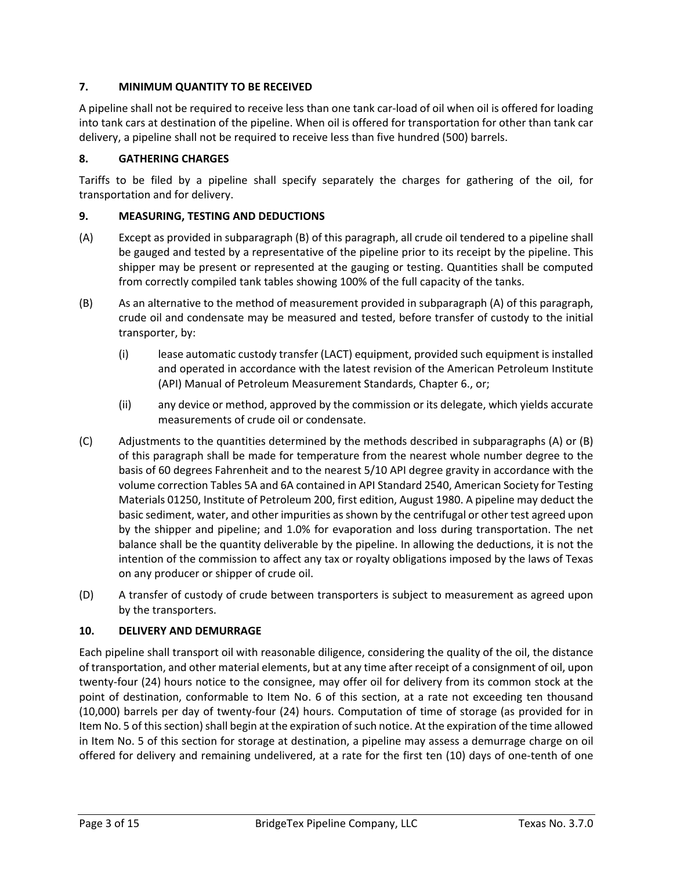## **7. MINIMUM QUANTITY TO BE RECEIVED**

A pipeline shall not be required to receive less than one tank car-load of oil when oil is offered for loading into tank cars at destination of the pipeline. When oil is offered for transportation for other than tank car delivery, a pipeline shall not be required to receive less than five hundred (500) barrels.

## **8. GATHERING CHARGES**

Tariffs to be filed by a pipeline shall specify separately the charges for gathering of the oil, for transportation and for delivery.

#### **9. MEASURING, TESTING AND DEDUCTIONS**

- (A) Except as provided in subparagraph (B) of this paragraph, all crude oil tendered to a pipeline shall be gauged and tested by a representative of the pipeline prior to its receipt by the pipeline. This shipper may be present or represented at the gauging or testing. Quantities shall be computed from correctly compiled tank tables showing 100% of the full capacity of the tanks.
- (B) As an alternative to the method of measurement provided in subparagraph (A) of this paragraph, crude oil and condensate may be measured and tested, before transfer of custody to the initial transporter, by:
	- (i) lease automatic custody transfer (LACT) equipment, provided such equipment is installed and operated in accordance with the latest revision of the American Petroleum Institute (API) Manual of Petroleum Measurement Standards, Chapter 6., or;
	- (ii) any device or method, approved by the commission or its delegate, which yields accurate measurements of crude oil or condensate.
- (C) Adjustments to the quantities determined by the methods described in subparagraphs (A) or (B) of this paragraph shall be made for temperature from the nearest whole number degree to the basis of 60 degrees Fahrenheit and to the nearest 5/10 API degree gravity in accordance with the volume correction Tables 5A and 6A contained in API Standard 2540, American Society for Testing Materials 01250, Institute of Petroleum 200, first edition, August 1980. A pipeline may deduct the basic sediment, water, and other impurities as shown by the centrifugal or other test agreed upon by the shipper and pipeline; and 1.0% for evaporation and loss during transportation. The net balance shall be the quantity deliverable by the pipeline. In allowing the deductions, it is not the intention of the commission to affect any tax or royalty obligations imposed by the laws of Texas on any producer or shipper of crude oil.
- (D) A transfer of custody of crude between transporters is subject to measurement as agreed upon by the transporters.

#### **10. DELIVERY AND DEMURRAGE**

Each pipeline shall transport oil with reasonable diligence, considering the quality of the oil, the distance of transportation, and other material elements, but at any time after receipt of a consignment of oil, upon twenty-four (24) hours notice to the consignee, may offer oil for delivery from its common stock at the point of destination, conformable to Item No. 6 of this section, at a rate not exceeding ten thousand (10,000) barrels per day of twenty-four (24) hours. Computation of time of storage (as provided for in Item No. 5 of this section) shall begin at the expiration of such notice. At the expiration of the time allowed in Item No. 5 of this section for storage at destination, a pipeline may assess a demurrage charge on oil offered for delivery and remaining undelivered, at a rate for the first ten (10) days of one-tenth of one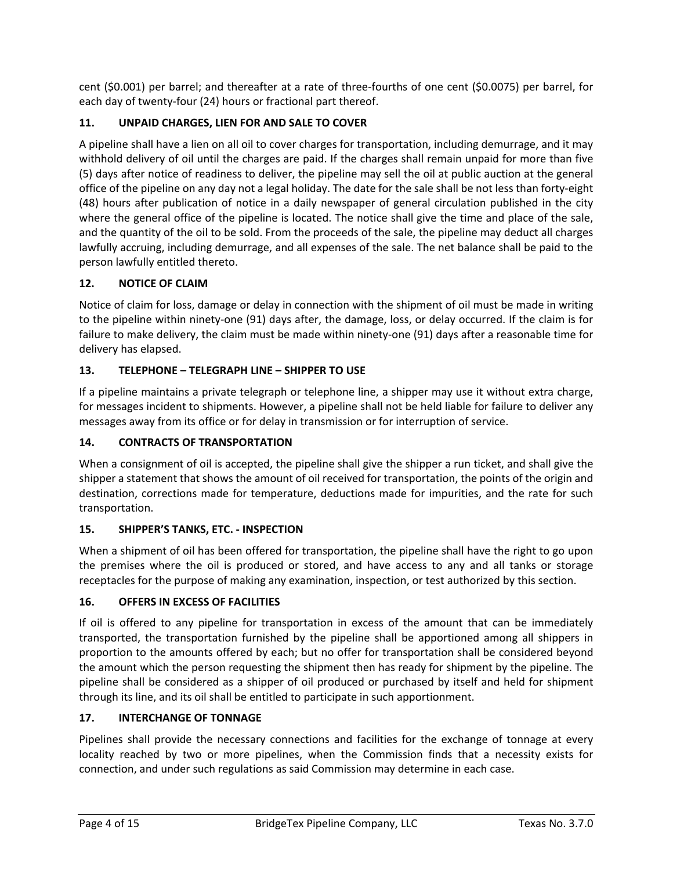cent (\$0.001) per barrel; and thereafter at a rate of three-fourths of one cent (\$0.0075) per barrel, for each day of twenty-four (24) hours or fractional part thereof.

# **11. UNPAID CHARGES, LIEN FOR AND SALE TO COVER**

A pipeline shall have a lien on all oil to cover charges for transportation, including demurrage, and it may withhold delivery of oil until the charges are paid. If the charges shall remain unpaid for more than five (5) days after notice of readiness to deliver, the pipeline may sell the oil at public auction at the general office of the pipeline on any day not a legal holiday. The date for the sale shall be not less than forty-eight (48) hours after publication of notice in a daily newspaper of general circulation published in the city where the general office of the pipeline is located. The notice shall give the time and place of the sale, and the quantity of the oil to be sold. From the proceeds of the sale, the pipeline may deduct all charges lawfully accruing, including demurrage, and all expenses of the sale. The net balance shall be paid to the person lawfully entitled thereto.

## **12. NOTICE OF CLAIM**

Notice of claim for loss, damage or delay in connection with the shipment of oil must be made in writing to the pipeline within ninety-one (91) days after, the damage, loss, or delay occurred. If the claim is for failure to make delivery, the claim must be made within ninety-one (91) days after a reasonable time for delivery has elapsed.

#### **13. TELEPHONE – TELEGRAPH LINE – SHIPPER TO USE**

If a pipeline maintains a private telegraph or telephone line, a shipper may use it without extra charge, for messages incident to shipments. However, a pipeline shall not be held liable for failure to deliver any messages away from its office or for delay in transmission or for interruption of service.

#### **14. CONTRACTS OF TRANSPORTATION**

When a consignment of oil is accepted, the pipeline shall give the shipper a run ticket, and shall give the shipper a statement that shows the amount of oil received for transportation, the points of the origin and destination, corrections made for temperature, deductions made for impurities, and the rate for such transportation.

#### **15. SHIPPER'S TANKS, ETC. - INSPECTION**

When a shipment of oil has been offered for transportation, the pipeline shall have the right to go upon the premises where the oil is produced or stored, and have access to any and all tanks or storage receptacles for the purpose of making any examination, inspection, or test authorized by this section.

#### **16. OFFERS IN EXCESS OF FACILITIES**

If oil is offered to any pipeline for transportation in excess of the amount that can be immediately transported, the transportation furnished by the pipeline shall be apportioned among all shippers in proportion to the amounts offered by each; but no offer for transportation shall be considered beyond the amount which the person requesting the shipment then has ready for shipment by the pipeline. The pipeline shall be considered as a shipper of oil produced or purchased by itself and held for shipment through its line, and its oil shall be entitled to participate in such apportionment.

#### **17. INTERCHANGE OF TONNAGE**

Pipelines shall provide the necessary connections and facilities for the exchange of tonnage at every locality reached by two or more pipelines, when the Commission finds that a necessity exists for connection, and under such regulations as said Commission may determine in each case.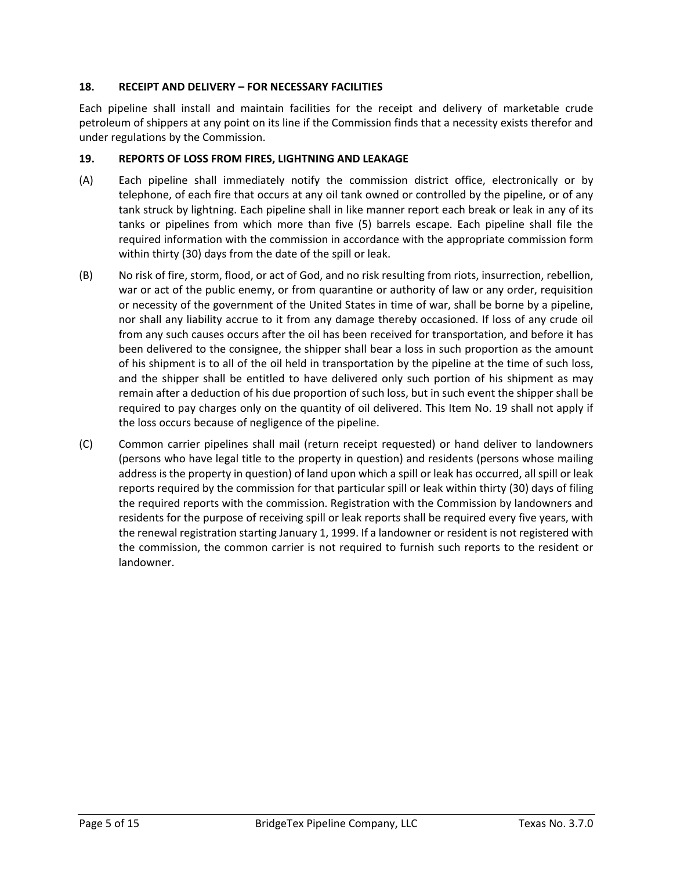#### **18. RECEIPT AND DELIVERY – FOR NECESSARY FACILITIES**

Each pipeline shall install and maintain facilities for the receipt and delivery of marketable crude petroleum of shippers at any point on its line if the Commission finds that a necessity exists therefor and under regulations by the Commission.

#### **19. REPORTS OF LOSS FROM FIRES, LIGHTNING AND LEAKAGE**

- (A) Each pipeline shall immediately notify the commission district office, electronically or by telephone, of each fire that occurs at any oil tank owned or controlled by the pipeline, or of any tank struck by lightning. Each pipeline shall in like manner report each break or leak in any of its tanks or pipelines from which more than five (5) barrels escape. Each pipeline shall file the required information with the commission in accordance with the appropriate commission form within thirty (30) days from the date of the spill or leak.
- (B) No risk of fire, storm, flood, or act of God, and no risk resulting from riots, insurrection, rebellion, war or act of the public enemy, or from quarantine or authority of law or any order, requisition or necessity of the government of the United States in time of war, shall be borne by a pipeline, nor shall any liability accrue to it from any damage thereby occasioned. If loss of any crude oil from any such causes occurs after the oil has been received for transportation, and before it has been delivered to the consignee, the shipper shall bear a loss in such proportion as the amount of his shipment is to all of the oil held in transportation by the pipeline at the time of such loss, and the shipper shall be entitled to have delivered only such portion of his shipment as may remain after a deduction of his due proportion of such loss, but in such event the shipper shall be required to pay charges only on the quantity of oil delivered. This Item No. 19 shall not apply if the loss occurs because of negligence of the pipeline.
- (C) Common carrier pipelines shall mail (return receipt requested) or hand deliver to landowners (persons who have legal title to the property in question) and residents (persons whose mailing address is the property in question) of land upon which a spill or leak has occurred, all spill or leak reports required by the commission for that particular spill or leak within thirty (30) days of filing the required reports with the commission. Registration with the Commission by landowners and residents for the purpose of receiving spill or leak reports shall be required every five years, with the renewal registration starting January 1, 1999. If a landowner or resident is not registered with the commission, the common carrier is not required to furnish such reports to the resident or landowner.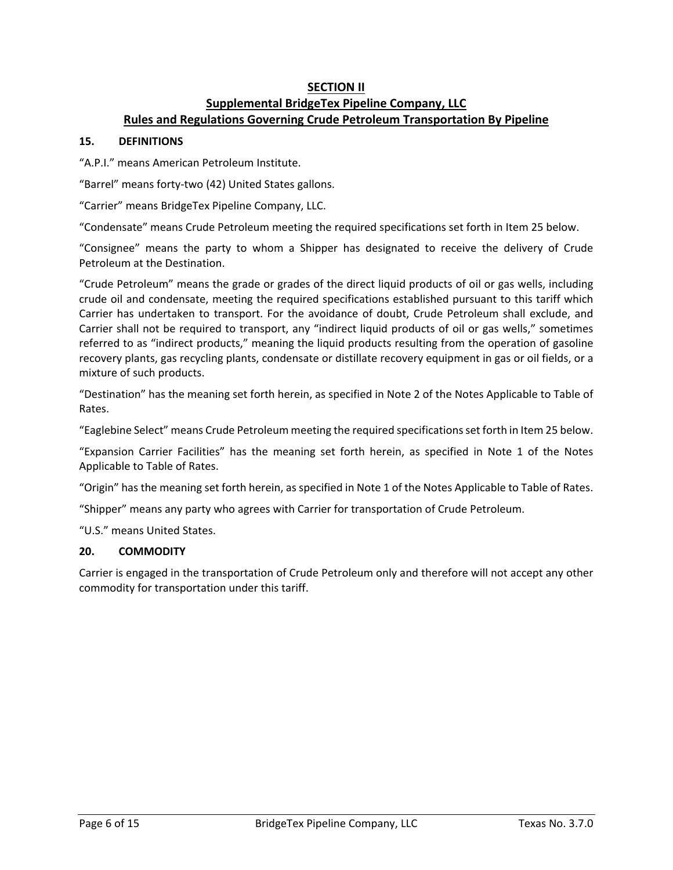# **SECTION II Supplemental BridgeTex Pipeline Company, LLC Rules and Regulations Governing Crude Petroleum Transportation By Pipeline**

#### **15. DEFINITIONS**

"A.P.I." means American Petroleum Institute.

"Barrel" means forty-two (42) United States gallons.

"Carrier" means BridgeTex Pipeline Company, LLC.

"Condensate" means Crude Petroleum meeting the required specifications set forth in Item 25 below.

"Consignee" means the party to whom a Shipper has designated to receive the delivery of Crude Petroleum at the Destination.

"Crude Petroleum" means the grade or grades of the direct liquid products of oil or gas wells, including crude oil and condensate, meeting the required specifications established pursuant to this tariff which Carrier has undertaken to transport. For the avoidance of doubt, Crude Petroleum shall exclude, and Carrier shall not be required to transport, any "indirect liquid products of oil or gas wells," sometimes referred to as "indirect products," meaning the liquid products resulting from the operation of gasoline recovery plants, gas recycling plants, condensate or distillate recovery equipment in gas or oil fields, or a mixture of such products.

"Destination" has the meaning set forth herein, as specified in Note 2 of the Notes Applicable to Table of Rates.

"Eaglebine Select" means Crude Petroleum meeting the required specifications set forth in Item 25 below.

"Expansion Carrier Facilities" has the meaning set forth herein, as specified in Note 1 of the Notes Applicable to Table of Rates.

"Origin" has the meaning set forth herein, as specified in Note 1 of the Notes Applicable to Table of Rates.

"Shipper" means any party who agrees with Carrier for transportation of Crude Petroleum.

"U.S." means United States.

#### **20. COMMODITY**

Carrier is engaged in the transportation of Crude Petroleum only and therefore will not accept any other commodity for transportation under this tariff.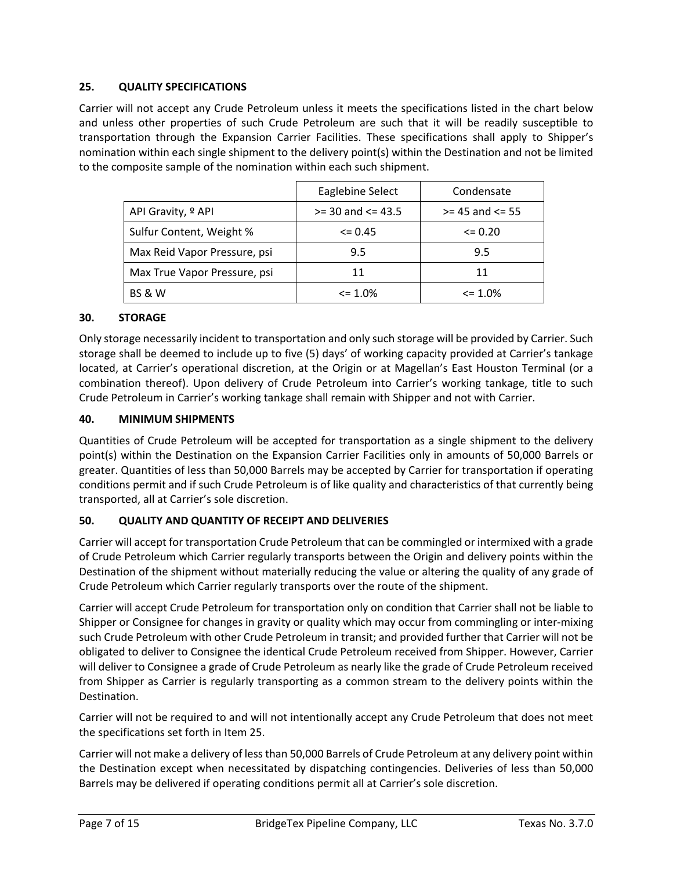#### **25. QUALITY SPECIFICATIONS**

Carrier will not accept any Crude Petroleum unless it meets the specifications listed in the chart below and unless other properties of such Crude Petroleum are such that it will be readily susceptible to transportation through the Expansion Carrier Facilities. These specifications shall apply to Shipper's nomination within each single shipment to the delivery point(s) within the Destination and not be limited to the composite sample of the nomination within each such shipment.

|                               | Eaglebine Select      | Condensate          |
|-------------------------------|-----------------------|---------------------|
| API Gravity, <sup>o</sup> API | $>=$ 30 and $<=$ 43.5 | $>= 45$ and $<= 55$ |
| Sulfur Content, Weight %      | $\leq$ 0.45           |                     |
| Max Reid Vapor Pressure, psi  | 9.5                   | 9.5                 |
| Max True Vapor Pressure, psi  | 11                    | 11                  |
| <b>BS &amp; W</b>             | $\leq$ 1.0%           | $\leq$ 1.0%         |

#### **30. STORAGE**

Only storage necessarily incident to transportation and only such storage will be provided by Carrier. Such storage shall be deemed to include up to five (5) days' of working capacity provided at Carrier's tankage located, at Carrier's operational discretion, at the Origin or at Magellan's East Houston Terminal (or a combination thereof). Upon delivery of Crude Petroleum into Carrier's working tankage, title to such Crude Petroleum in Carrier's working tankage shall remain with Shipper and not with Carrier.

#### **40. MINIMUM SHIPMENTS**

Quantities of Crude Petroleum will be accepted for transportation as a single shipment to the delivery point(s) within the Destination on the Expansion Carrier Facilities only in amounts of 50,000 Barrels or greater. Quantities of less than 50,000 Barrels may be accepted by Carrier for transportation if operating conditions permit and if such Crude Petroleum is of like quality and characteristics of that currently being transported, all at Carrier's sole discretion.

## **50. QUALITY AND QUANTITY OF RECEIPT AND DELIVERIES**

Carrier will accept for transportation Crude Petroleum that can be commingled or intermixed with a grade of Crude Petroleum which Carrier regularly transports between the Origin and delivery points within the Destination of the shipment without materially reducing the value or altering the quality of any grade of Crude Petroleum which Carrier regularly transports over the route of the shipment.

Carrier will accept Crude Petroleum for transportation only on condition that Carrier shall not be liable to Shipper or Consignee for changes in gravity or quality which may occur from commingling or inter-mixing such Crude Petroleum with other Crude Petroleum in transit; and provided further that Carrier will not be obligated to deliver to Consignee the identical Crude Petroleum received from Shipper. However, Carrier will deliver to Consignee a grade of Crude Petroleum as nearly like the grade of Crude Petroleum received from Shipper as Carrier is regularly transporting as a common stream to the delivery points within the Destination.

Carrier will not be required to and will not intentionally accept any Crude Petroleum that does not meet the specifications set forth in Item 25.

Carrier will not make a delivery of less than 50,000 Barrels of Crude Petroleum at any delivery point within the Destination except when necessitated by dispatching contingencies. Deliveries of less than 50,000 Barrels may be delivered if operating conditions permit all at Carrier's sole discretion.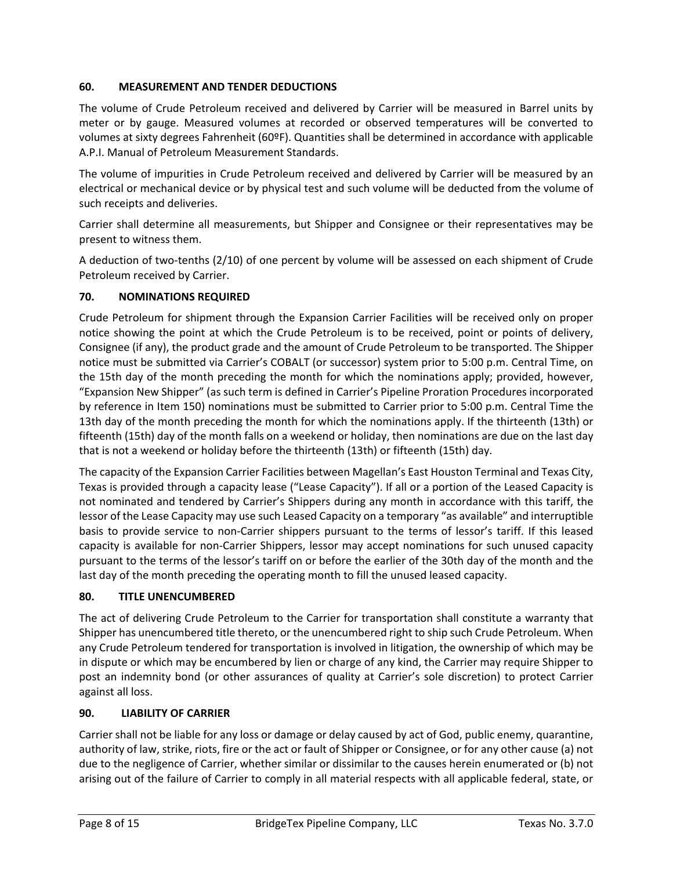## **60. MEASUREMENT AND TENDER DEDUCTIONS**

The volume of Crude Petroleum received and delivered by Carrier will be measured in Barrel units by meter or by gauge. Measured volumes at recorded or observed temperatures will be converted to volumes at sixty degrees Fahrenheit (60ºF). Quantities shall be determined in accordance with applicable A.P.I. Manual of Petroleum Measurement Standards.

The volume of impurities in Crude Petroleum received and delivered by Carrier will be measured by an electrical or mechanical device or by physical test and such volume will be deducted from the volume of such receipts and deliveries.

Carrier shall determine all measurements, but Shipper and Consignee or their representatives may be present to witness them.

A deduction of two-tenths (2/10) of one percent by volume will be assessed on each shipment of Crude Petroleum received by Carrier.

## **70. NOMINATIONS REQUIRED**

Crude Petroleum for shipment through the Expansion Carrier Facilities will be received only on proper notice showing the point at which the Crude Petroleum is to be received, point or points of delivery, Consignee (if any), the product grade and the amount of Crude Petroleum to be transported. The Shipper notice must be submitted via Carrier's COBALT (or successor) system prior to 5:00 p.m. Central Time, on the 15th day of the month preceding the month for which the nominations apply; provided, however, "Expansion New Shipper" (as such term is defined in Carrier's Pipeline Proration Procedures incorporated by reference in Item 150) nominations must be submitted to Carrier prior to 5:00 p.m. Central Time the 13th day of the month preceding the month for which the nominations apply. If the thirteenth (13th) or fifteenth (15th) day of the month falls on a weekend or holiday, then nominations are due on the last day that is not a weekend or holiday before the thirteenth (13th) or fifteenth (15th) day.

The capacity of the Expansion Carrier Facilities between Magellan's East Houston Terminal and Texas City, Texas is provided through a capacity lease ("Lease Capacity"). If all or a portion of the Leased Capacity is not nominated and tendered by Carrier's Shippers during any month in accordance with this tariff, the lessor of the Lease Capacity may use such Leased Capacity on a temporary "as available" and interruptible basis to provide service to non-Carrier shippers pursuant to the terms of lessor's tariff. If this leased capacity is available for non-Carrier Shippers, lessor may accept nominations for such unused capacity pursuant to the terms of the lessor's tariff on or before the earlier of the 30th day of the month and the last day of the month preceding the operating month to fill the unused leased capacity.

## **80. TITLE UNENCUMBERED**

The act of delivering Crude Petroleum to the Carrier for transportation shall constitute a warranty that Shipper has unencumbered title thereto, or the unencumbered right to ship such Crude Petroleum. When any Crude Petroleum tendered for transportation is involved in litigation, the ownership of which may be in dispute or which may be encumbered by lien or charge of any kind, the Carrier may require Shipper to post an indemnity bond (or other assurances of quality at Carrier's sole discretion) to protect Carrier against all loss.

#### **90. LIABILITY OF CARRIER**

Carrier shall not be liable for any loss or damage or delay caused by act of God, public enemy, quarantine, authority of law, strike, riots, fire or the act or fault of Shipper or Consignee, or for any other cause (a) not due to the negligence of Carrier, whether similar or dissimilar to the causes herein enumerated or (b) not arising out of the failure of Carrier to comply in all material respects with all applicable federal, state, or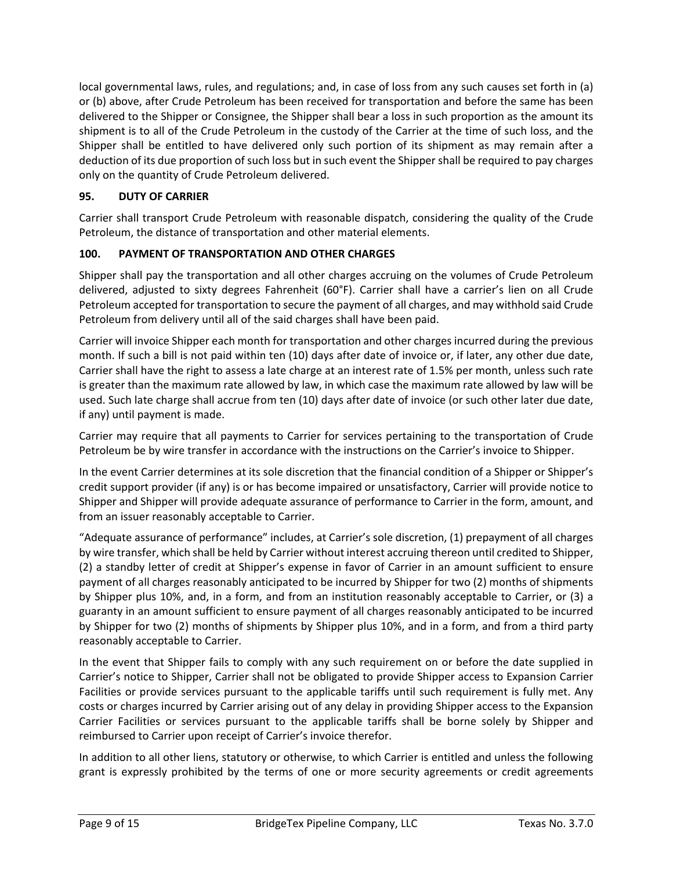local governmental laws, rules, and regulations; and, in case of loss from any such causes set forth in (a) or (b) above, after Crude Petroleum has been received for transportation and before the same has been delivered to the Shipper or Consignee, the Shipper shall bear a loss in such proportion as the amount its shipment is to all of the Crude Petroleum in the custody of the Carrier at the time of such loss, and the Shipper shall be entitled to have delivered only such portion of its shipment as may remain after a deduction of its due proportion of such loss but in such event the Shipper shall be required to pay charges only on the quantity of Crude Petroleum delivered.

# **95. DUTY OF CARRIER**

Carrier shall transport Crude Petroleum with reasonable dispatch, considering the quality of the Crude Petroleum, the distance of transportation and other material elements.

# **100. PAYMENT OF TRANSPORTATION AND OTHER CHARGES**

Shipper shall pay the transportation and all other charges accruing on the volumes of Crude Petroleum delivered, adjusted to sixty degrees Fahrenheit (60°F). Carrier shall have a carrier's lien on all Crude Petroleum accepted for transportation to secure the payment of all charges, and may withhold said Crude Petroleum from delivery until all of the said charges shall have been paid.

Carrier will invoice Shipper each month for transportation and other charges incurred during the previous month. If such a bill is not paid within ten (10) days after date of invoice or, if later, any other due date, Carrier shall have the right to assess a late charge at an interest rate of 1.5% per month, unless such rate is greater than the maximum rate allowed by law, in which case the maximum rate allowed by law will be used. Such late charge shall accrue from ten (10) days after date of invoice (or such other later due date, if any) until payment is made.

Carrier may require that all payments to Carrier for services pertaining to the transportation of Crude Petroleum be by wire transfer in accordance with the instructions on the Carrier's invoice to Shipper.

In the event Carrier determines at its sole discretion that the financial condition of a Shipper or Shipper's credit support provider (if any) is or has become impaired or unsatisfactory, Carrier will provide notice to Shipper and Shipper will provide adequate assurance of performance to Carrier in the form, amount, and from an issuer reasonably acceptable to Carrier.

"Adequate assurance of performance" includes, at Carrier's sole discretion, (1) prepayment of all charges by wire transfer, which shall be held by Carrier without interest accruing thereon until credited to Shipper, (2) a standby letter of credit at Shipper's expense in favor of Carrier in an amount sufficient to ensure payment of all charges reasonably anticipated to be incurred by Shipper for two (2) months of shipments by Shipper plus 10%, and, in a form, and from an institution reasonably acceptable to Carrier, or (3) a guaranty in an amount sufficient to ensure payment of all charges reasonably anticipated to be incurred by Shipper for two (2) months of shipments by Shipper plus 10%, and in a form, and from a third party reasonably acceptable to Carrier.

In the event that Shipper fails to comply with any such requirement on or before the date supplied in Carrier's notice to Shipper, Carrier shall not be obligated to provide Shipper access to Expansion Carrier Facilities or provide services pursuant to the applicable tariffs until such requirement is fully met. Any costs or charges incurred by Carrier arising out of any delay in providing Shipper access to the Expansion Carrier Facilities or services pursuant to the applicable tariffs shall be borne solely by Shipper and reimbursed to Carrier upon receipt of Carrier's invoice therefor.

In addition to all other liens, statutory or otherwise, to which Carrier is entitled and unless the following grant is expressly prohibited by the terms of one or more security agreements or credit agreements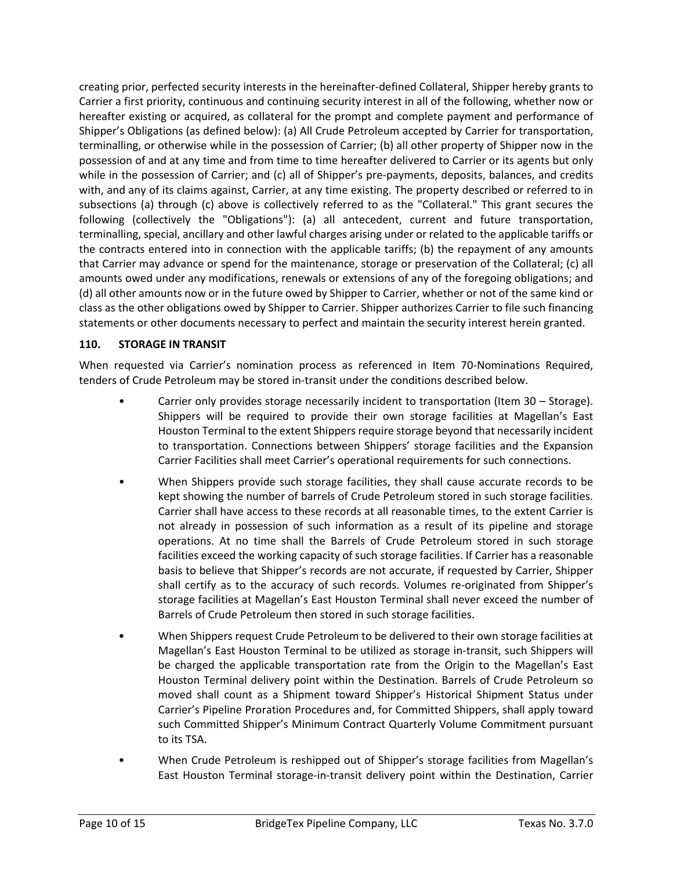creating prior, perfected security interests in the hereinafter-defined Collateral, Shipper hereby grants to Carrier a first priority, continuous and continuing security interest in all of the following, whether now or hereafter existing or acquired, as collateral for the prompt and complete payment and performance of Shipper's Obligations (as defined below): (a) All Crude Petroleum accepted by Carrier for transportation, terminalling, or otherwise while in the possession of Carrier; (b) all other property of Shipper now in the possession of and at any time and from time to time hereafter delivered to Carrier or its agents but only while in the possession of Carrier; and (c) all of Shipper's pre-payments, deposits, balances, and credits with, and any of its claims against, Carrier, at any time existing. The property described or referred to in subsections (a) through (c) above is collectively referred to as the "Collateral." This grant secures the following (collectively the "Obligations"): (a) all antecedent, current and future transportation, terminalling, special, ancillary and other lawful charges arising under or related to the applicable tariffs or the contracts entered into in connection with the applicable tariffs; (b) the repayment of any amounts that Carrier may advance or spend for the maintenance, storage or preservation of the Collateral; (c) all amounts owed under any modifications, renewals or extensions of any of the foregoing obligations; and (d) all other amounts now or in the future owed by Shipper to Carrier, whether or not of the same kind or class as the other obligations owed by Shipper to Carrier. Shipper authorizes Carrier to file such financing statements or other documents necessary to perfect and maintain the security interest herein granted.

## **110. STORAGE IN TRANSIT**

When requested via Carrier's nomination process as referenced in Item 70-Nominations Required, tenders of Crude Petroleum may be stored in-transit under the conditions described below.

- Carrier only provides storage necessarily incident to transportation (Item 30 Storage). Shippers will be required to provide their own storage facilities at Magellan's East Houston Terminal to the extent Shippers require storage beyond that necessarily incident to transportation. Connections between Shippers' storage facilities and the Expansion Carrier Facilities shall meet Carrier's operational requirements for such connections.
- When Shippers provide such storage facilities, they shall cause accurate records to be kept showing the number of barrels of Crude Petroleum stored in such storage facilities. Carrier shall have access to these records at all reasonable times, to the extent Carrier is not already in possession of such information as a result of its pipeline and storage operations. At no time shall the Barrels of Crude Petroleum stored in such storage facilities exceed the working capacity of such storage facilities. If Carrier has a reasonable basis to believe that Shipper's records are not accurate, if requested by Carrier, Shipper shall certify as to the accuracy of such records. Volumes re-originated from Shipper's storage facilities at Magellan's East Houston Terminal shall never exceed the number of Barrels of Crude Petroleum then stored in such storage facilities.
- When Shippers request Crude Petroleum to be delivered to their own storage facilities at Magellan's East Houston Terminal to be utilized as storage in-transit, such Shippers will be charged the applicable transportation rate from the Origin to the Magellan's East Houston Terminal delivery point within the Destination. Barrels of Crude Petroleum so moved shall count as a Shipment toward Shipper's Historical Shipment Status under Carrier's Pipeline Proration Procedures and, for Committed Shippers, shall apply toward such Committed Shipper's Minimum Contract Quarterly Volume Commitment pursuant to its TSA.
- When Crude Petroleum is reshipped out of Shipper's storage facilities from Magellan's East Houston Terminal storage-in-transit delivery point within the Destination, Carrier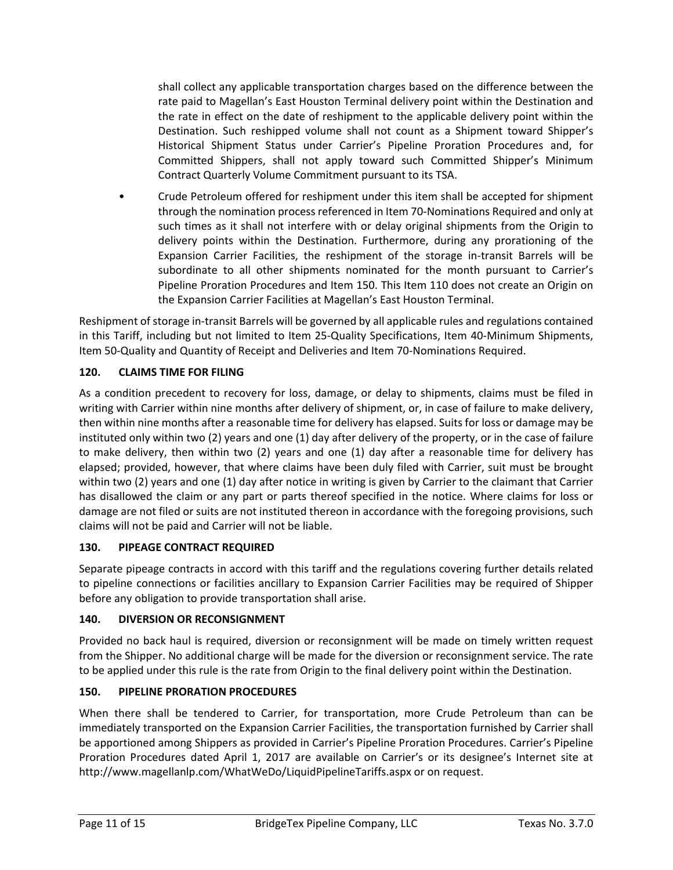shall collect any applicable transportation charges based on the difference between the rate paid to Magellan's East Houston Terminal delivery point within the Destination and the rate in effect on the date of reshipment to the applicable delivery point within the Destination. Such reshipped volume shall not count as a Shipment toward Shipper's Historical Shipment Status under Carrier's Pipeline Proration Procedures and, for Committed Shippers, shall not apply toward such Committed Shipper's Minimum Contract Quarterly Volume Commitment pursuant to its TSA.

• Crude Petroleum offered for reshipment under this item shall be accepted for shipment through the nomination process referenced in Item 70-Nominations Required and only at such times as it shall not interfere with or delay original shipments from the Origin to delivery points within the Destination. Furthermore, during any prorationing of the Expansion Carrier Facilities, the reshipment of the storage in-transit Barrels will be subordinate to all other shipments nominated for the month pursuant to Carrier's Pipeline Proration Procedures and Item 150. This Item 110 does not create an Origin on the Expansion Carrier Facilities at Magellan's East Houston Terminal.

Reshipment of storage in-transit Barrels will be governed by all applicable rules and regulations contained in this Tariff, including but not limited to Item 25-Quality Specifications, Item 40-Minimum Shipments, Item 50-Quality and Quantity of Receipt and Deliveries and Item 70-Nominations Required.

# **120. CLAIMS TIME FOR FILING**

As a condition precedent to recovery for loss, damage, or delay to shipments, claims must be filed in writing with Carrier within nine months after delivery of shipment, or, in case of failure to make delivery, then within nine months after a reasonable time for delivery has elapsed. Suits for loss or damage may be instituted only within two (2) years and one (1) day after delivery of the property, or in the case of failure to make delivery, then within two (2) years and one (1) day after a reasonable time for delivery has elapsed; provided, however, that where claims have been duly filed with Carrier, suit must be brought within two (2) years and one (1) day after notice in writing is given by Carrier to the claimant that Carrier has disallowed the claim or any part or parts thereof specified in the notice. Where claims for loss or damage are not filed or suits are not instituted thereon in accordance with the foregoing provisions, such claims will not be paid and Carrier will not be liable.

## **130. PIPEAGE CONTRACT REQUIRED**

Separate pipeage contracts in accord with this tariff and the regulations covering further details related to pipeline connections or facilities ancillary to Expansion Carrier Facilities may be required of Shipper before any obligation to provide transportation shall arise.

## **140. DIVERSION OR RECONSIGNMENT**

Provided no back haul is required, diversion or reconsignment will be made on timely written request from the Shipper. No additional charge will be made for the diversion or reconsignment service. The rate to be applied under this rule is the rate from Origin to the final delivery point within the Destination.

## **150. PIPELINE PRORATION PROCEDURES**

When there shall be tendered to Carrier, for transportation, more Crude Petroleum than can be immediately transported on the Expansion Carrier Facilities, the transportation furnished by Carrier shall be apportioned among Shippers as provided in Carrier's Pipeline Proration Procedures. Carrier's Pipeline Proration Procedures dated April 1, 2017 are available on Carrier's or its designee's Internet site at http://www.magellanlp.com/WhatWeDo/LiquidPipelineTariffs.aspx or on request.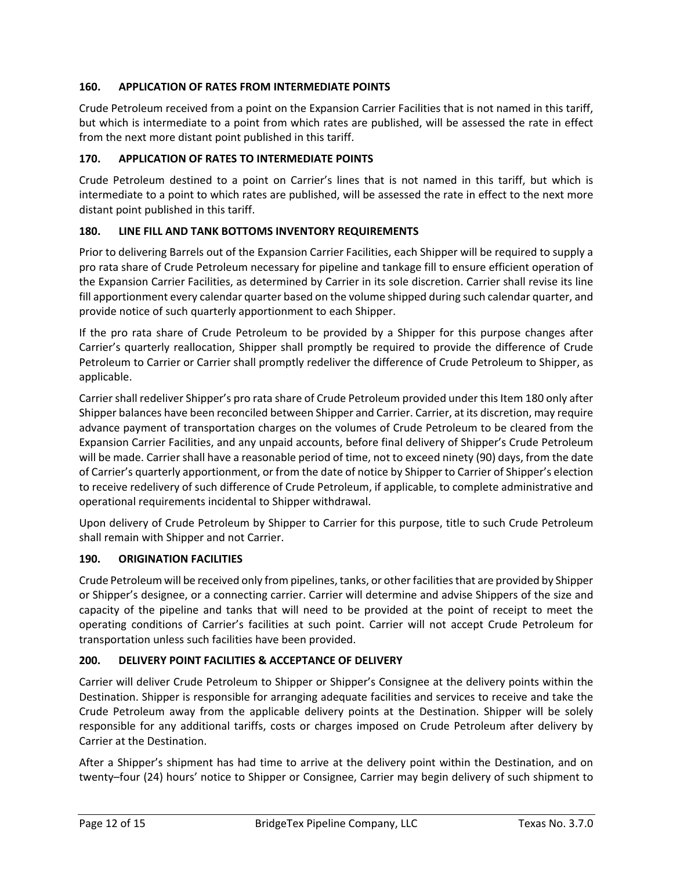## **160. APPLICATION OF RATES FROM INTERMEDIATE POINTS**

Crude Petroleum received from a point on the Expansion Carrier Facilities that is not named in this tariff, but which is intermediate to a point from which rates are published, will be assessed the rate in effect from the next more distant point published in this tariff.

#### **170. APPLICATION OF RATES TO INTERMEDIATE POINTS**

Crude Petroleum destined to a point on Carrier's lines that is not named in this tariff, but which is intermediate to a point to which rates are published, will be assessed the rate in effect to the next more distant point published in this tariff.

#### **180. LINE FILL AND TANK BOTTOMS INVENTORY REQUIREMENTS**

Prior to delivering Barrels out of the Expansion Carrier Facilities, each Shipper will be required to supply a pro rata share of Crude Petroleum necessary for pipeline and tankage fill to ensure efficient operation of the Expansion Carrier Facilities, as determined by Carrier in its sole discretion. Carrier shall revise its line fill apportionment every calendar quarter based on the volume shipped during such calendar quarter, and provide notice of such quarterly apportionment to each Shipper.

If the pro rata share of Crude Petroleum to be provided by a Shipper for this purpose changes after Carrier's quarterly reallocation, Shipper shall promptly be required to provide the difference of Crude Petroleum to Carrier or Carrier shall promptly redeliver the difference of Crude Petroleum to Shipper, as applicable.

Carrier shall redeliver Shipper's pro rata share of Crude Petroleum provided under this Item 180 only after Shipper balances have been reconciled between Shipper and Carrier. Carrier, at its discretion, may require advance payment of transportation charges on the volumes of Crude Petroleum to be cleared from the Expansion Carrier Facilities, and any unpaid accounts, before final delivery of Shipper's Crude Petroleum will be made. Carrier shall have a reasonable period of time, not to exceed ninety (90) days, from the date of Carrier's quarterly apportionment, or from the date of notice by Shipper to Carrier of Shipper's election to receive redelivery of such difference of Crude Petroleum, if applicable, to complete administrative and operational requirements incidental to Shipper withdrawal.

Upon delivery of Crude Petroleum by Shipper to Carrier for this purpose, title to such Crude Petroleum shall remain with Shipper and not Carrier.

#### **190. ORIGINATION FACILITIES**

Crude Petroleum will be received only from pipelines, tanks, or other facilities that are provided by Shipper or Shipper's designee, or a connecting carrier. Carrier will determine and advise Shippers of the size and capacity of the pipeline and tanks that will need to be provided at the point of receipt to meet the operating conditions of Carrier's facilities at such point. Carrier will not accept Crude Petroleum for transportation unless such facilities have been provided.

## **200. DELIVERY POINT FACILITIES & ACCEPTANCE OF DELIVERY**

Carrier will deliver Crude Petroleum to Shipper or Shipper's Consignee at the delivery points within the Destination. Shipper is responsible for arranging adequate facilities and services to receive and take the Crude Petroleum away from the applicable delivery points at the Destination. Shipper will be solely responsible for any additional tariffs, costs or charges imposed on Crude Petroleum after delivery by Carrier at the Destination.

After a Shipper's shipment has had time to arrive at the delivery point within the Destination, and on twenty–four (24) hours' notice to Shipper or Consignee, Carrier may begin delivery of such shipment to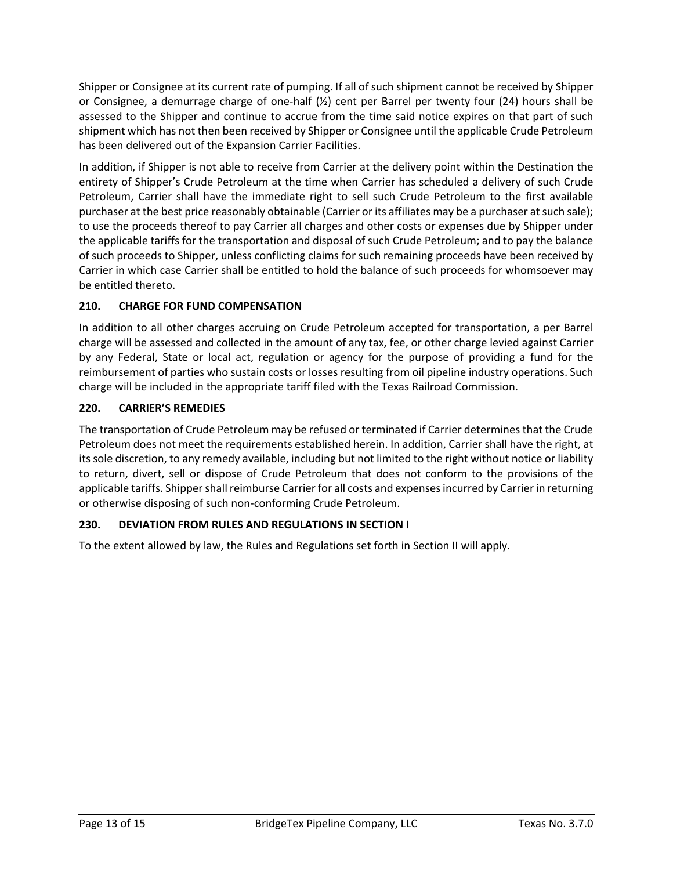Shipper or Consignee at its current rate of pumping. If all of such shipment cannot be received by Shipper or Consignee, a demurrage charge of one-half (½) cent per Barrel per twenty four (24) hours shall be assessed to the Shipper and continue to accrue from the time said notice expires on that part of such shipment which has not then been received by Shipper or Consignee until the applicable Crude Petroleum has been delivered out of the Expansion Carrier Facilities.

In addition, if Shipper is not able to receive from Carrier at the delivery point within the Destination the entirety of Shipper's Crude Petroleum at the time when Carrier has scheduled a delivery of such Crude Petroleum, Carrier shall have the immediate right to sell such Crude Petroleum to the first available purchaser at the best price reasonably obtainable (Carrier or its affiliates may be a purchaser at such sale); to use the proceeds thereof to pay Carrier all charges and other costs or expenses due by Shipper under the applicable tariffs for the transportation and disposal of such Crude Petroleum; and to pay the balance of such proceeds to Shipper, unless conflicting claims for such remaining proceeds have been received by Carrier in which case Carrier shall be entitled to hold the balance of such proceeds for whomsoever may be entitled thereto.

# **210. CHARGE FOR FUND COMPENSATION**

In addition to all other charges accruing on Crude Petroleum accepted for transportation, a per Barrel charge will be assessed and collected in the amount of any tax, fee, or other charge levied against Carrier by any Federal, State or local act, regulation or agency for the purpose of providing a fund for the reimbursement of parties who sustain costs or losses resulting from oil pipeline industry operations. Such charge will be included in the appropriate tariff filed with the Texas Railroad Commission.

## **220. CARRIER'S REMEDIES**

The transportation of Crude Petroleum may be refused or terminated if Carrier determines that the Crude Petroleum does not meet the requirements established herein. In addition, Carrier shall have the right, at its sole discretion, to any remedy available, including but not limited to the right without notice or liability to return, divert, sell or dispose of Crude Petroleum that does not conform to the provisions of the applicable tariffs. Shipper shall reimburse Carrier for all costs and expenses incurred by Carrier in returning or otherwise disposing of such non-conforming Crude Petroleum.

## **230. DEVIATION FROM RULES AND REGULATIONS IN SECTION I**

To the extent allowed by law, the Rules and Regulations set forth in Section II will apply.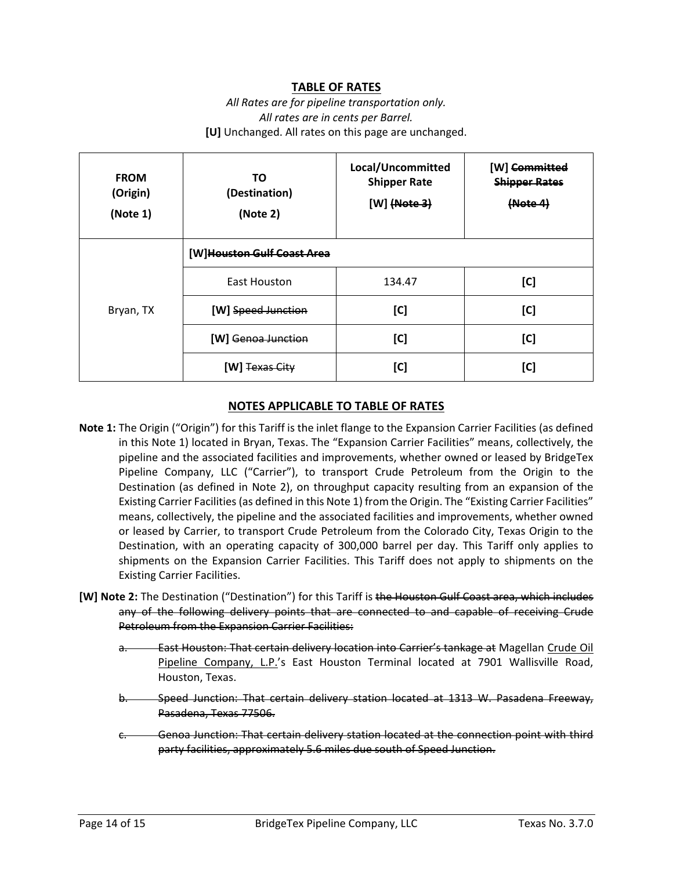# **TABLE OF RATES**

## *All Rates are for pipeline transportation only. All rates are in cents per Barrel.* **[U]** Unchanged. All rates on this page are unchanged.

| <b>FROM</b><br>(Origin)<br>(Note 1) | ΤO<br>(Destination)<br>(Note 2) | Local/Uncommitted<br><b>Shipper Rate</b><br>$[W]$ (Note 3) | [W] <del>Committed</del><br><b>Shipper Rates</b><br>(Mote 4) |
|-------------------------------------|---------------------------------|------------------------------------------------------------|--------------------------------------------------------------|
|                                     | [W]Houston Gulf Coast Area      |                                                            |                                                              |
| Bryan, TX                           | <b>East Houston</b>             | 134.47                                                     | [C]                                                          |
|                                     | [W] Speed Junction              | [C]                                                        | [C]                                                          |
|                                     | <b>IWI</b> Genoa Junction       | [C]                                                        | [C]                                                          |
|                                     | [W] Texas City                  | [C]                                                        | [C]                                                          |

#### **NOTES APPLICABLE TO TABLE OF RATES**

- **Note 1:** The Origin ("Origin") for this Tariff is the inlet flange to the Expansion Carrier Facilities (as defined in this Note 1) located in Bryan, Texas. The "Expansion Carrier Facilities" means, collectively, the pipeline and the associated facilities and improvements, whether owned or leased by BridgeTex Pipeline Company, LLC ("Carrier"), to transport Crude Petroleum from the Origin to the Destination (as defined in Note 2), on throughput capacity resulting from an expansion of the Existing Carrier Facilities (as defined in this Note 1) from the Origin. The "Existing Carrier Facilities" means, collectively, the pipeline and the associated facilities and improvements, whether owned or leased by Carrier, to transport Crude Petroleum from the Colorado City, Texas Origin to the Destination, with an operating capacity of 300,000 barrel per day. This Tariff only applies to shipments on the Expansion Carrier Facilities. This Tariff does not apply to shipments on the Existing Carrier Facilities.
- **[W] Note 2:** The Destination ("Destination") for this Tariff is the Houston Gulf Coast area, which includes any of the following delivery points that are connected to and capable of receiving Crude Petroleum from the Expansion Carrier Facilities:
	- **East Houston: That certain delivery location into Carrier's tankage at Magellan Crude Oil** Pipeline Company, L.P.'s East Houston Terminal located at 7901 Wallisville Road, Houston, Texas.
	- b. Speed Junction: That certain delivery station located at 1313 W. Pasadena Freeway, Pasadena, Texas 77506.
	- Genoa Junction: That certain delivery station located at the connection point with third party facilities, approximately 5.6 miles due south of Speed Junction.